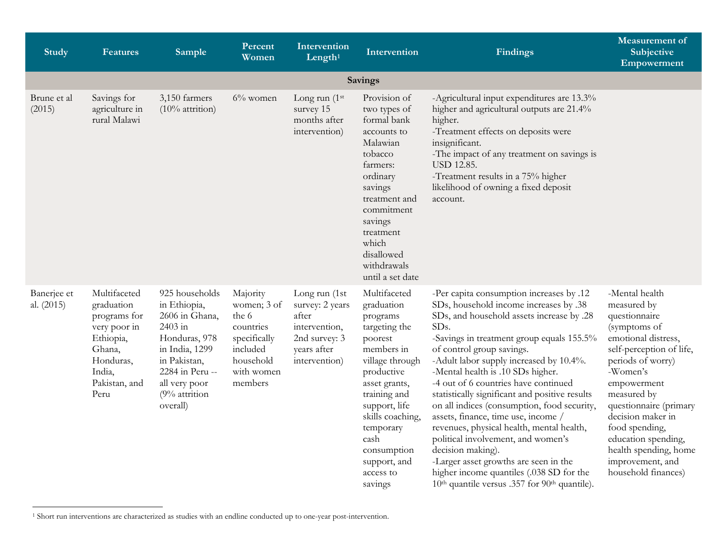<span id="page-0-0"></span>

| <b>Study</b>              | <b>Features</b>                                                                                                                   | <b>Sample</b>                                                                                                                                                                   | Percent<br>Women                                                                                                | Intervention<br>Length $1$                                                                                  | Intervention                                                                                                                                                                                                                                                        | <b>Findings</b>                                                                                                                                                                                                                                                                                                                                                                                                                                                                                                                                                                                                                                                                                                                                         | <b>Measurement</b> of<br>Subjective<br>Empowerment                                                                                                                                                                                                                                                                                           |
|---------------------------|-----------------------------------------------------------------------------------------------------------------------------------|---------------------------------------------------------------------------------------------------------------------------------------------------------------------------------|-----------------------------------------------------------------------------------------------------------------|-------------------------------------------------------------------------------------------------------------|---------------------------------------------------------------------------------------------------------------------------------------------------------------------------------------------------------------------------------------------------------------------|---------------------------------------------------------------------------------------------------------------------------------------------------------------------------------------------------------------------------------------------------------------------------------------------------------------------------------------------------------------------------------------------------------------------------------------------------------------------------------------------------------------------------------------------------------------------------------------------------------------------------------------------------------------------------------------------------------------------------------------------------------|----------------------------------------------------------------------------------------------------------------------------------------------------------------------------------------------------------------------------------------------------------------------------------------------------------------------------------------------|
|                           |                                                                                                                                   |                                                                                                                                                                                 |                                                                                                                 |                                                                                                             | Savings                                                                                                                                                                                                                                                             |                                                                                                                                                                                                                                                                                                                                                                                                                                                                                                                                                                                                                                                                                                                                                         |                                                                                                                                                                                                                                                                                                                                              |
| Brune et al<br>(2015)     | Savings for<br>agriculture in<br>rural Malawi                                                                                     | 3,150 farmers<br>$(10\%$ attrition)                                                                                                                                             | $6\%$ women                                                                                                     | Long run $(1st)$<br>survey 15<br>months after<br>intervention)                                              | Provision of<br>two types of<br>formal bank<br>accounts to<br>Malawian<br>tobacco<br>farmers:<br>ordinary<br>savings<br>treatment and<br>commitment<br>savings<br>treatment<br>which<br>disallowed<br>withdrawals<br>until a set date                               | -Agricultural input expenditures are 13.3%<br>higher and agricultural outputs are 21.4%<br>higher.<br>-Treatment effects on deposits were<br>insignificant.<br>-The impact of any treatment on savings is<br><b>USD 12.85.</b><br>-Treatment results in a 75% higher<br>likelihood of owning a fixed deposit<br>account.                                                                                                                                                                                                                                                                                                                                                                                                                                |                                                                                                                                                                                                                                                                                                                                              |
| Banerjee et<br>al. (2015) | Multifaceted<br>graduation<br>programs for<br>very poor in<br>Ethiopia,<br>Ghana,<br>Honduras,<br>India,<br>Pakistan, and<br>Peru | 925 households<br>in Ethiopia,<br>2606 in Ghana,<br>2403 in<br>Honduras, 978<br>in India, 1299<br>in Pakistan,<br>2284 in Peru --<br>all very poor<br>(9% attrition<br>overall) | Majority<br>women; 3 of<br>the 6<br>countries<br>specifically<br>included<br>household<br>with women<br>members | Long run (1st<br>survey: 2 years<br>after<br>intervention,<br>2nd survey: 3<br>years after<br>intervention) | Multifaceted<br>graduation<br>programs<br>targeting the<br>poorest<br>members in<br>village through<br>productive<br>asset grants,<br>training and<br>support, life<br>skills coaching,<br>temporary<br>cash<br>consumption<br>support, and<br>access to<br>savings | -Per capita consumption increases by .12<br>SDs, household income increases by .38<br>SDs, and household assets increase by .28<br>SDs.<br>-Savings in treatment group equals 155.5%<br>of control group savings.<br>-Adult labor supply increased by 10.4%.<br>-Mental health is .10 SDs higher.<br>-4 out of 6 countries have continued<br>statistically significant and positive results<br>on all indices (consumption, food security,<br>assets, finance, time use, income /<br>revenues, physical health, mental health,<br>political involvement, and women's<br>decision making).<br>-Larger asset growths are seen in the<br>higher income quantiles (.038 SD for the<br>10 <sup>th</sup> quantile versus .357 for 90 <sup>th</sup> quantile). | -Mental health<br>measured by<br>questionnaire<br>(symptoms of<br>emotional distress,<br>self-perception of life,<br>periods of worry)<br>-Women's<br>empowerment<br>measured by<br>questionnaire (primary<br>decision maker in<br>food spending,<br>education spending,<br>health spending, home<br>improvement, and<br>household finances) |

<sup>1</sup> Short run interventions are characterized as studies with an endline conducted up to one-year post-intervention.

 $\overline{a}$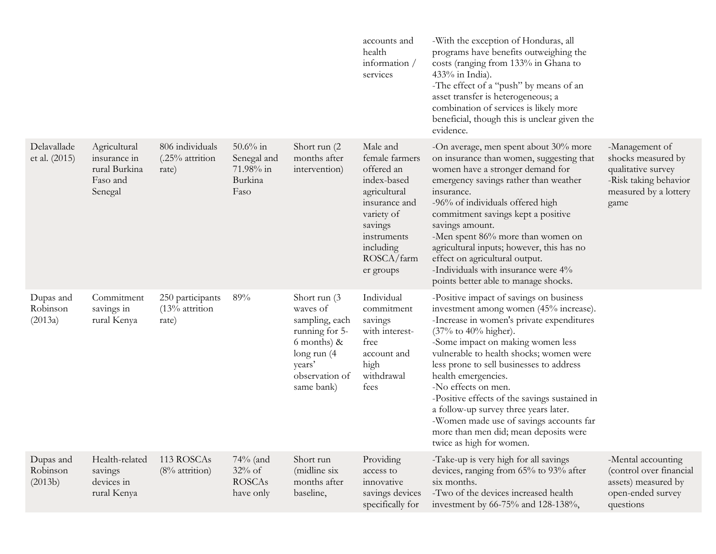|                                  |                                                                      |                                               |                                                            |                                                                                                                                          | accounts and<br>health<br>information /<br>services                                                                                                                      | -With the exception of Honduras, all<br>programs have benefits outweighing the<br>costs (ranging from 133% in Ghana to<br>$433%$ in India).<br>-The effect of a "push" by means of an<br>asset transfer is heterogeneous; a<br>combination of services is likely more<br>beneficial, though this is unclear given the<br>evidence.                                                                                                                                                                                                         |                                                                                                                      |
|----------------------------------|----------------------------------------------------------------------|-----------------------------------------------|------------------------------------------------------------|------------------------------------------------------------------------------------------------------------------------------------------|--------------------------------------------------------------------------------------------------------------------------------------------------------------------------|--------------------------------------------------------------------------------------------------------------------------------------------------------------------------------------------------------------------------------------------------------------------------------------------------------------------------------------------------------------------------------------------------------------------------------------------------------------------------------------------------------------------------------------------|----------------------------------------------------------------------------------------------------------------------|
| Delavallade<br>et al. (2015)     | Agricultural<br>insurance in<br>rural Burkina<br>Faso and<br>Senegal | 806 individuals<br>(.25% attrition<br>rate)   | $50.6\%$ in<br>Senegal and<br>71.98% in<br>Burkina<br>Faso | Short run (2)<br>months after<br>intervention)                                                                                           | Male and<br>female farmers<br>offered an<br>index-based<br>agricultural<br>insurance and<br>variety of<br>savings<br>instruments<br>including<br>ROSCA/farm<br>er groups | -On average, men spent about 30% more<br>on insurance than women, suggesting that<br>women have a stronger demand for<br>emergency savings rather than weather<br>insurance.<br>-96% of individuals offered high<br>commitment savings kept a positive<br>savings amount.<br>-Men spent 86% more than women on<br>agricultural inputs; however, this has no<br>effect on agricultural output.<br>-Individuals with insurance were 4%<br>points better able to manage shocks.                                                               | -Management of<br>shocks measured by<br>qualitative survey<br>-Risk taking behavior<br>measured by a lottery<br>game |
| Dupas and<br>Robinson<br>(2013a) | Commitment<br>savings in<br>rural Kenya                              | 250 participants<br>$(13%$ attrition<br>rate) | 89%                                                        | Short run (3<br>waves of<br>sampling, each<br>running for 5-<br>6 months) $\&$<br>long run (4)<br>years'<br>observation of<br>same bank) | Individual<br>commitment<br>savings<br>with interest-<br>free<br>account and<br>high<br>withdrawal<br>fees                                                               | -Positive impact of savings on business<br>investment among women (45% increase).<br>-Increase in women's private expenditures<br>(37% to 40% higher).<br>-Some impact on making women less<br>vulnerable to health shocks; women were<br>less prone to sell businesses to address<br>health emergencies.<br>-No effects on men.<br>-Positive effects of the savings sustained in<br>a follow-up survey three years later.<br>-Women made use of savings accounts far<br>more than men did; mean deposits were<br>twice as high for women. |                                                                                                                      |
| Dupas and<br>Robinson<br>(2013b) | Health-related<br>savings<br>devices in<br>rural Kenya               | 113 ROSCAs<br>$(8%$ attrition)                | $74\%$ (and<br>$32\%$ of<br><b>ROSCAs</b><br>have only     | Short run<br>(midline six<br>months after<br>baseline,                                                                                   | Providing<br>access to<br>innovative<br>savings devices<br>specifically for                                                                                              | -Take-up is very high for all savings<br>devices, ranging from 65% to 93% after<br>six months.<br>-Two of the devices increased health<br>investment by 66-75% and 128-138%,                                                                                                                                                                                                                                                                                                                                                               | -Mental accounting<br>(control over financial<br>assets) measured by<br>open-ended survey<br>questions               |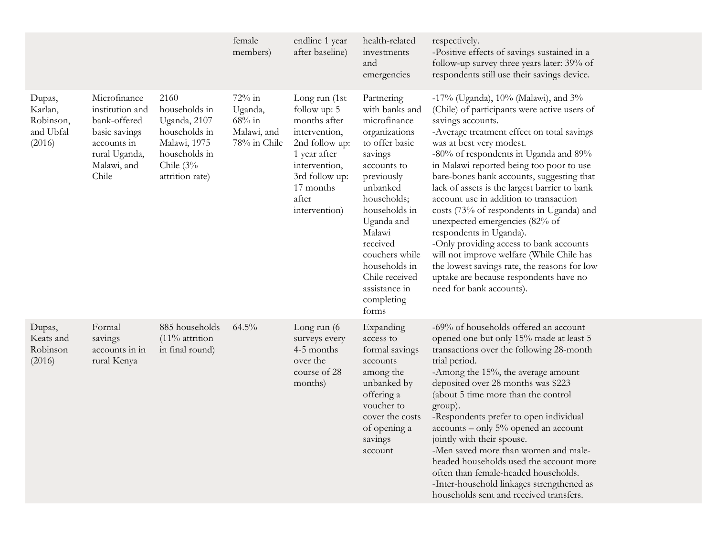|                                                       |                                                                                                                          |                                                                                                                           | female<br>members)                                            | endline 1 year<br>after baseline)                                                                                                                                          | health-related<br>investments<br>and<br>emergencies                                                                                                                                                                                                                                                  | respectively.<br>-Positive effects of savings sustained in a<br>follow-up survey three years later: 39% of<br>respondents still use their savings device.                                                                                                                                                                                                                                                                                                                                                                                                                                                                                                                                                                              |
|-------------------------------------------------------|--------------------------------------------------------------------------------------------------------------------------|---------------------------------------------------------------------------------------------------------------------------|---------------------------------------------------------------|----------------------------------------------------------------------------------------------------------------------------------------------------------------------------|------------------------------------------------------------------------------------------------------------------------------------------------------------------------------------------------------------------------------------------------------------------------------------------------------|----------------------------------------------------------------------------------------------------------------------------------------------------------------------------------------------------------------------------------------------------------------------------------------------------------------------------------------------------------------------------------------------------------------------------------------------------------------------------------------------------------------------------------------------------------------------------------------------------------------------------------------------------------------------------------------------------------------------------------------|
| Dupas,<br>Karlan,<br>Robinson,<br>and Ubfal<br>(2016) | Microfinance<br>institution and<br>bank-offered<br>basic savings<br>accounts in<br>rural Uganda,<br>Malawi, and<br>Chile | 2160<br>households in<br>Uganda, 2107<br>households in<br>Malawi, 1975<br>households in<br>Chile $(3%$<br>attrition rate) | 72% in<br>Uganda,<br>$68\%$ in<br>Malawi, and<br>78% in Chile | Long run (1st<br>follow up: 5<br>months after<br>intervention,<br>2nd follow up:<br>1 year after<br>intervention,<br>3rd follow up:<br>17 months<br>after<br>intervention) | Partnering<br>with banks and<br>microfinance<br>organizations<br>to offer basic<br>savings<br>accounts to<br>previously<br>unbanked<br>households;<br>households in<br>Uganda and<br>Malawi<br>received<br>couchers while<br>households in<br>Chile received<br>assistance in<br>completing<br>forms | -17% (Uganda), 10% (Malawi), and 3%<br>(Chile) of participants were active users of<br>savings accounts.<br>-Average treatment effect on total savings<br>was at best very modest.<br>-80% of respondents in Uganda and 89%<br>in Malawi reported being too poor to use<br>bare-bones bank accounts, suggesting that<br>lack of assets is the largest barrier to bank<br>account use in addition to transaction<br>costs (73% of respondents in Uganda) and<br>unexpected emergencies (82% of<br>respondents in Uganda).<br>-Only providing access to bank accounts<br>will not improve welfare (While Chile has<br>the lowest savings rate, the reasons for low<br>uptake are because respondents have no<br>need for bank accounts). |
| Dupas,<br>Keats and<br>Robinson<br>(2016)             | Formal<br>savings<br>accounts in in<br>rural Kenya                                                                       | 885 households<br>$(11\%$ attrition<br>in final round)                                                                    | 64.5%                                                         | Long run $(6)$<br>surveys every<br>4-5 months<br>over the<br>course of 28<br>months)                                                                                       | Expanding<br>access to<br>formal savings<br>accounts<br>among the<br>unbanked by<br>offering a<br>voucher to<br>cover the costs<br>of opening a<br>savings<br>account                                                                                                                                | -69% of households offered an account<br>opened one but only 15% made at least 5<br>transactions over the following 28-month<br>trial period.<br>-Among the 15%, the average amount<br>deposited over 28 months was \$223<br>(about 5 time more than the control<br>group).<br>-Respondents prefer to open individual<br>accounts - only 5% opened an account<br>jointly with their spouse.<br>-Men saved more than women and male-<br>headed households used the account more<br>often than female-headed households.<br>-Inter-household linkages strengthened as<br>households sent and received transfers.                                                                                                                         |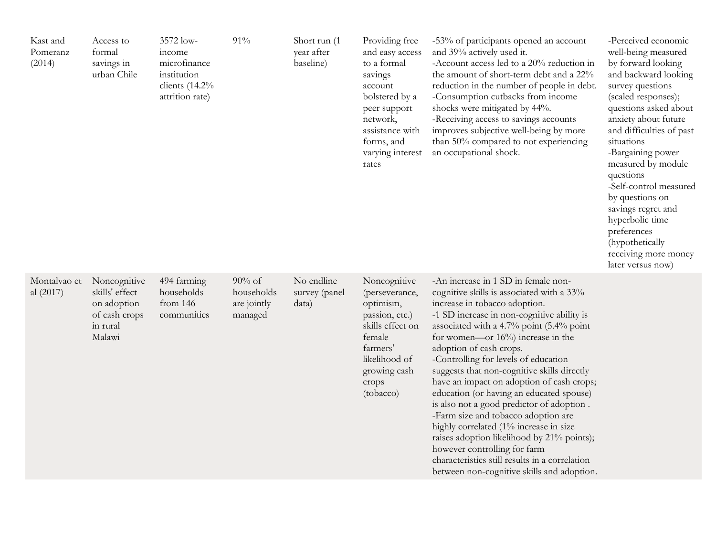| Kast and<br>Pomeranz<br>(2014) | Access to<br>formal<br>savings in<br>urban Chile                                     | 3572 low-<br>income<br>microfinance<br>institution<br>clients $(14.2\%$<br>attrition rate) | 91%                                               | Short run (1<br>year after<br>baseline) | Providing free<br>and easy access<br>to a formal<br>savings<br>account<br>bolstered by a<br>peer support<br>network,<br>assistance with<br>forms, and<br>varying interest<br>rates | -53% of participants opened an account<br>and 39% actively used it.<br>-Account access led to a 20% reduction in<br>the amount of short-term debt and a 22%<br>reduction in the number of people in debt.<br>-Consumption cutbacks from income<br>shocks were mitigated by 44%.<br>-Receiving access to savings accounts<br>improves subjective well-being by more<br>than 50% compared to not experiencing<br>an occupational shock.                                                                                                                                                                                                                                                                                                                                     | -Perceived economic<br>well-being measured<br>by forward looking<br>and backward looking<br>survey questions<br>(scaled responses);<br>questions asked about<br>anxiety about future<br>and difficulties of past<br>situations<br>-Bargaining power<br>measured by module<br>questions<br>-Self-control measured<br>by questions on<br>savings regret and<br>hyperbolic time<br>preferences<br>(hypothetically<br>receiving more money<br>later versus now) |
|--------------------------------|--------------------------------------------------------------------------------------|--------------------------------------------------------------------------------------------|---------------------------------------------------|-----------------------------------------|------------------------------------------------------------------------------------------------------------------------------------------------------------------------------------|---------------------------------------------------------------------------------------------------------------------------------------------------------------------------------------------------------------------------------------------------------------------------------------------------------------------------------------------------------------------------------------------------------------------------------------------------------------------------------------------------------------------------------------------------------------------------------------------------------------------------------------------------------------------------------------------------------------------------------------------------------------------------|-------------------------------------------------------------------------------------------------------------------------------------------------------------------------------------------------------------------------------------------------------------------------------------------------------------------------------------------------------------------------------------------------------------------------------------------------------------|
| Montalvao et<br>al $(2017)$    | Noncognitive<br>skills' effect<br>on adoption<br>of cash crops<br>in rural<br>Malawi | 494 farming<br>households<br>from $146$<br>communities                                     | $90\%$ of<br>households<br>are jointly<br>managed | No endline<br>survey (panel<br>data)    | Noncognitive<br>(perseverance,<br>optimism,<br>passion, etc.)<br>skills effect on<br>female<br>farmers'<br>likelihood of<br>growing cash<br>crops<br>(tobacco)                     | -An increase in 1 SD in female non-<br>cognitive skills is associated with a 33%<br>increase in tobacco adoption.<br>-1 SD increase in non-cognitive ability is<br>associated with a 4.7% point (5.4% point<br>for women—or $16\%$ increase in the<br>adoption of cash crops.<br>-Controlling for levels of education<br>suggests that non-cognitive skills directly<br>have an impact on adoption of cash crops;<br>education (or having an educated spouse)<br>is also not a good predictor of adoption.<br>-Farm size and tobacco adoption are<br>highly correlated (1% increase in size<br>raises adoption likelihood by 21% points);<br>however controlling for farm<br>characteristics still results in a correlation<br>between non-cognitive skills and adoption. |                                                                                                                                                                                                                                                                                                                                                                                                                                                             |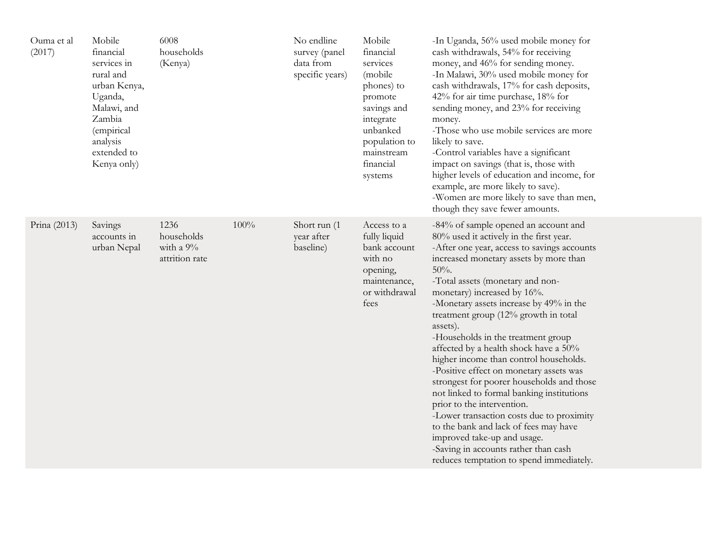| Ouma et al<br>(2017) | Mobile<br>financial<br>services in<br>rural and<br>urban Kenya,<br>Uganda,<br>Malawi, and<br>Zambia<br>(empirical<br>analysis<br>extended to<br>Kenya only) | 6008<br>households<br>(Kenya)                     |      | No endline<br>survey (panel<br>data from<br>specific years) | Mobile<br>financial<br>services<br>(mobile<br>phones) to<br>promote<br>savings and<br>integrate<br>unbanked<br>population to<br>mainstream<br>financial<br>systems | -In Uganda, 56% used mobile money for<br>cash withdrawals, 54% for receiving<br>money, and 46% for sending money.<br>-In Malawi, 30% used mobile money for<br>cash withdrawals, 17% for cash deposits,<br>42% for air time purchase, 18% for<br>sending money, and 23% for receiving<br>money.<br>-Those who use mobile services are more<br>likely to save.<br>-Control variables have a significant<br>impact on savings (that is, those with<br>higher levels of education and income, for<br>example, are more likely to save).<br>-Women are more likely to save than men,<br>though they save fewer amounts.                                                                                                                                                                                                                                         |
|----------------------|-------------------------------------------------------------------------------------------------------------------------------------------------------------|---------------------------------------------------|------|-------------------------------------------------------------|--------------------------------------------------------------------------------------------------------------------------------------------------------------------|------------------------------------------------------------------------------------------------------------------------------------------------------------------------------------------------------------------------------------------------------------------------------------------------------------------------------------------------------------------------------------------------------------------------------------------------------------------------------------------------------------------------------------------------------------------------------------------------------------------------------------------------------------------------------------------------------------------------------------------------------------------------------------------------------------------------------------------------------------|
| Prina (2013)         | Savings<br>accounts in<br>urban Nepal                                                                                                                       | 1236<br>households<br>with a 9%<br>attrition rate | 100% | Short run (1<br>year after<br>baseline)                     | Access to a<br>fully liquid<br>bank account<br>with no<br>opening,<br>maintenance,<br>or withdrawal<br>fees                                                        | -84% of sample opened an account and<br>80% used it actively in the first year.<br>-After one year, access to savings accounts<br>increased monetary assets by more than<br>$50%$ .<br>-Total assets (monetary and non-<br>monetary) increased by 16%.<br>-Monetary assets increase by 49% in the<br>treatment group (12% growth in total<br>assets).<br>-Households in the treatment group<br>affected by a health shock have a 50%<br>higher income than control households.<br>-Positive effect on monetary assets was<br>strongest for poorer households and those<br>not linked to formal banking institutions<br>prior to the intervention.<br>-Lower transaction costs due to proximity<br>to the bank and lack of fees may have<br>improved take-up and usage.<br>-Saving in accounts rather than cash<br>reduces temptation to spend immediately. |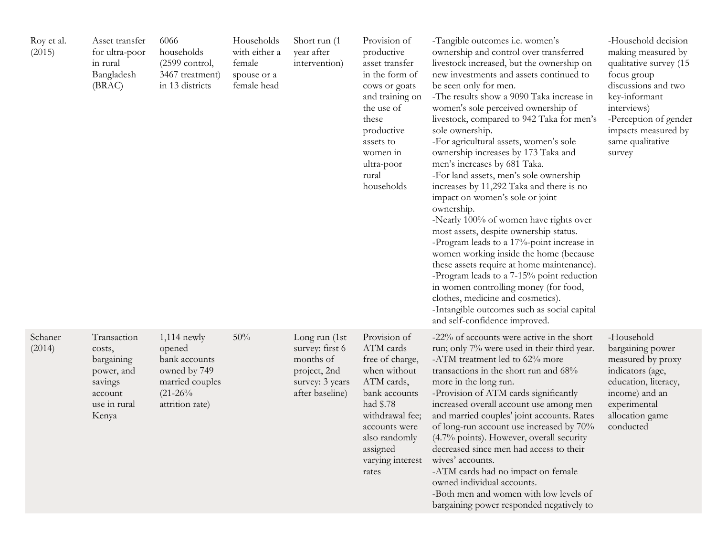| Roy et al.<br>(2015) | Asset transfer<br>for ultra-poor<br>in rural<br>Bangladesh<br>(BRAC)                             | 6066<br>households<br>(2599 control,<br>3467 treatment)<br>in 13 districts                                   | Households<br>with either a<br>female<br>spouse or a<br>female head | Short run (1<br>year after<br>intervention)                                                         | Provision of<br>productive<br>asset transfer<br>in the form of<br>cows or goats<br>and training on<br>the use of<br>these<br>productive<br>assets to<br>women in<br>ultra-poor<br>rural<br>households  | -Tangible outcomes <i>i.e.</i> women's<br>ownership and control over transferred<br>livestock increased, but the ownership on<br>new investments and assets continued to<br>be seen only for men.<br>-The results show a 9090 Taka increase in<br>women's sole perceived ownership of<br>livestock, compared to 942 Taka for men's<br>sole ownership.<br>-For agricultural assets, women's sole<br>ownership increases by 173 Taka and<br>men's increases by 681 Taka.<br>-For land assets, men's sole ownership<br>increases by 11,292 Taka and there is no<br>impact on women's sole or joint<br>ownership.<br>-Nearly 100% of women have rights over<br>most assets, despite ownership status.<br>-Program leads to a 17%-point increase in<br>women working inside the home (because<br>these assets require at home maintenance).<br>-Program leads to a 7-15% point reduction<br>in women controlling money (for food,<br>clothes, medicine and cosmetics).<br>-Intangible outcomes such as social capital<br>and self-confidence improved. | -Household decision<br>making measured by<br>qualitative survey (15<br>focus group<br>discussions and two<br>key-informant<br>interviews)<br>-Perception of gender<br>impacts measured by<br>same qualitative<br>survey |
|----------------------|--------------------------------------------------------------------------------------------------|--------------------------------------------------------------------------------------------------------------|---------------------------------------------------------------------|-----------------------------------------------------------------------------------------------------|--------------------------------------------------------------------------------------------------------------------------------------------------------------------------------------------------------|---------------------------------------------------------------------------------------------------------------------------------------------------------------------------------------------------------------------------------------------------------------------------------------------------------------------------------------------------------------------------------------------------------------------------------------------------------------------------------------------------------------------------------------------------------------------------------------------------------------------------------------------------------------------------------------------------------------------------------------------------------------------------------------------------------------------------------------------------------------------------------------------------------------------------------------------------------------------------------------------------------------------------------------------------|-------------------------------------------------------------------------------------------------------------------------------------------------------------------------------------------------------------------------|
| Schaner<br>(2014)    | Transaction<br>costs,<br>bargaining<br>power, and<br>savings<br>account<br>use in rural<br>Kenya | $1,114$ newly<br>opened<br>bank accounts<br>owned by 749<br>married couples<br>$(21-26\%$<br>attrition rate) | 50%                                                                 | Long run (1st<br>survey: first 6<br>months of<br>project, 2nd<br>survey: 3 years<br>after baseline) | Provision of<br>ATM cards<br>free of charge,<br>when without<br>ATM cards,<br>bank accounts<br>had \$.78<br>withdrawal fee;<br>accounts were<br>also randomly<br>assigned<br>varying interest<br>rates | -22% of accounts were active in the short<br>run; only 7% were used in their third year.<br>-ATM treatment led to 62% more<br>transactions in the short run and 68%<br>more in the long run.<br>-Provision of ATM cards significantly<br>increased overall account use among men<br>and married couples' joint accounts. Rates<br>of long-run account use increased by 70%<br>(4.7% points). However, overall security<br>decreased since men had access to their<br>wives' accounts.<br>-ATM cards had no impact on female<br>owned individual accounts.<br>-Both men and women with low levels of<br>bargaining power responded negatively to                                                                                                                                                                                                                                                                                                                                                                                                   | -Household<br>bargaining power<br>measured by proxy<br>indicators (age,<br>education, literacy,<br>income) and an<br>experimental<br>allocation game<br>conducted                                                       |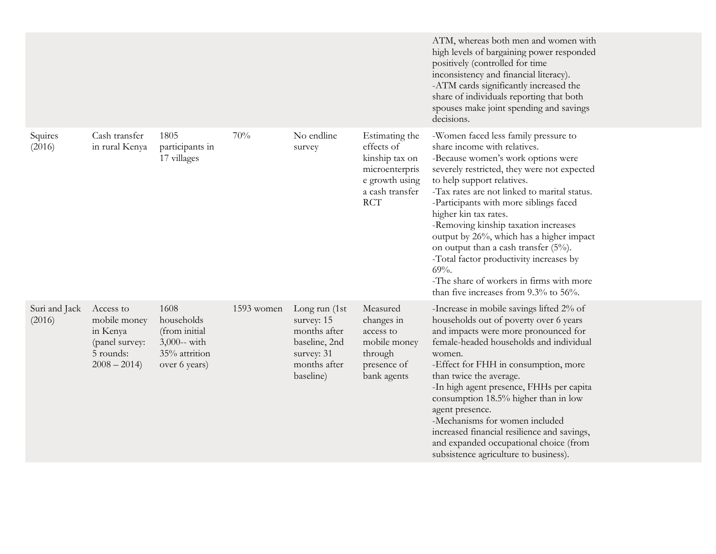|                         |                                                                                       |                                                                                       |            |                                                                                                         |                                                                                                                     | ATM, whereas both men and women with<br>high levels of bargaining power responded<br>positively (controlled for time<br>inconsistency and financial literacy).<br>-ATM cards significantly increased the<br>share of individuals reporting that both<br>spouses make joint spending and savings<br>decisions.                                                                                                                                                                                                                                                                 |
|-------------------------|---------------------------------------------------------------------------------------|---------------------------------------------------------------------------------------|------------|---------------------------------------------------------------------------------------------------------|---------------------------------------------------------------------------------------------------------------------|-------------------------------------------------------------------------------------------------------------------------------------------------------------------------------------------------------------------------------------------------------------------------------------------------------------------------------------------------------------------------------------------------------------------------------------------------------------------------------------------------------------------------------------------------------------------------------|
| Squires<br>(2016)       | Cash transfer<br>in rural Kenya                                                       | 1805<br>participants in<br>17 villages                                                | 70%        | No endline<br>survey                                                                                    | Estimating the<br>effects of<br>kinship tax on<br>microenterpris<br>e growth using<br>a cash transfer<br><b>RCT</b> | -Women faced less family pressure to<br>share income with relatives.<br>-Because women's work options were<br>severely restricted, they were not expected<br>to help support relatives.<br>-Tax rates are not linked to marital status.<br>-Participants with more siblings faced<br>higher kin tax rates.<br>-Removing kinship taxation increases<br>output by 26%, which has a higher impact<br>on output than a cash transfer (5%).<br>-Total factor productivity increases by<br>69%<br>-The share of workers in firms with more<br>than five increases from 9.3% to 56%. |
| Suri and Jack<br>(2016) | Access to<br>mobile money<br>in Kenya<br>(panel survey:<br>5 rounds:<br>$2008 - 2014$ | 1608<br>households<br>(from initial<br>3,000-- with<br>35% attrition<br>over 6 years) | 1593 women | Long run (1st<br>survey: 15<br>months after<br>baseline, 2nd<br>survey: 31<br>months after<br>baseline) | Measured<br>changes in<br>access to<br>mobile money<br>through<br>presence of<br>bank agents                        | -Increase in mobile savings lifted 2% of<br>households out of poverty over 6 years<br>and impacts were more pronounced for<br>female-headed households and individual<br>women.<br>-Effect for FHH in consumption, more<br>than twice the average.<br>-In high agent presence, FHHs per capita<br>consumption 18.5% higher than in low<br>agent presence.<br>-Mechanisms for women included<br>increased financial resilience and savings,<br>and expanded occupational choice (from<br>subsistence agriculture to business).                                                 |